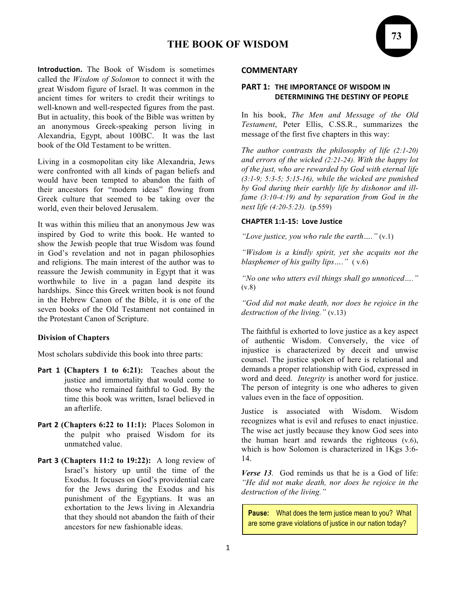# **THE BOOK OF WISDOM**

**Introduction.** The Book of Wisdom is sometimes called the *Wisdom of Solomon* to connect it with the great Wisdom figure of Israel. It was common in the ancient times for writers to credit their writings to well-known and well-respected figures from the past. But in actuality, this book of the Bible was written by an anonymous Greek-speaking person living in Alexandria, Egypt, about 100BC. It was the last book of the Old Testament to be written.

Living in a cosmopolitan city like Alexandria, Jews were confronted with all kinds of pagan beliefs and would have been tempted to abandon the faith of their ancestors for "modern ideas" flowing from Greek culture that seemed to be taking over the world, even their beloved Jerusalem.

It was within this milieu that an anonymous Jew was inspired by God to write this book. He wanted to show the Jewish people that true Wisdom was found in God's revelation and not in pagan philosophies and religions. The main interest of the author was to reassure the Jewish community in Egypt that it was worthwhile to live in a pagan land despite its hardships. Since this Greek written book is not found in the Hebrew Canon of the Bible, it is one of the seven books of the Old Testament not contained in the Protestant Canon of Scripture.

### **Division of Chapters**

Most scholars subdivide this book into three parts:

- **Part 1 (Chapters 1 to 6:21):** Teaches about the justice and immortality that would come to those who remained faithful to God. By the time this book was written, Israel believed in an afterlife.
- **Part 2** (Chapters 6:22 to 11:1): Places Solomon in the pulpit who praised Wisdom for its unmatched value.
- **Part 3 (Chapters 11:2 to 19:22):** A long review of Israel's history up until the time of the Exodus. It focuses on God's providential care for the Jews during the Exodus and his punishment of the Egyptians. It was an exhortation to the Jews living in Alexandria that they should not abandon the faith of their ancestors for new fashionable ideas.

#### **COMMENTARY**

### **PART 1: THE IMPORTANCE OF WISDOM IN DETERMINING THE DESTINY OF PEOPLE**

In his book, *The Men and Message of the Old Testament*, Peter Ellis, C.SS.R., summarizes the message of the first five chapters in this way:

*The author contrasts the philosophy of life (2:1-20) and errors of the wicked (2:21-24). With the happy lot of the just, who are rewarded by God with eternal life (3:1-9; 5:3-5; 5:15-16), while the wicked are punished by God during their earthly life by dishonor and illfame (3:10-4:19) and by separation from God in the next life (4:20-5:23).* (p.559)

#### **CHAPTER 1:1-15: Love Justice**

*"Love justice, you who rule the earth…."* (v.1)

*"Wisdom is a kindly spirit, yet she acquits not the blasphemer of his guilty lips…."* ( v.6)

*"No one who utters evil things shall go unnoticed…."*   $(v.8)$ 

*"God did not make death, nor does he rejoice in the destruction of the living."* (v.13)

The faithful is exhorted to love justice as a key aspect of authentic Wisdom. Conversely, the vice of injustice is characterized by deceit and unwise counsel. The justice spoken of here is relational and demands a proper relationship with God, expressed in word and deed. *Integrity* is another word for justice. The person of integrity is one who adheres to given values even in the face of opposition.

Justice is associated with Wisdom. Wisdom recognizes what is evil and refuses to enact injustice. The wise act justly because they know God sees into the human heart and rewards the righteous (v.6), which is how Solomon is characterized in 1Kgs 3:6- 14.

*Verse 13.* God reminds us that he is a God of life: *"He did not make death, nor does he rejoice in the destruction of the living."*

**Pause:** What does the term justice mean to you? What are some grave violations of justice in our nation today?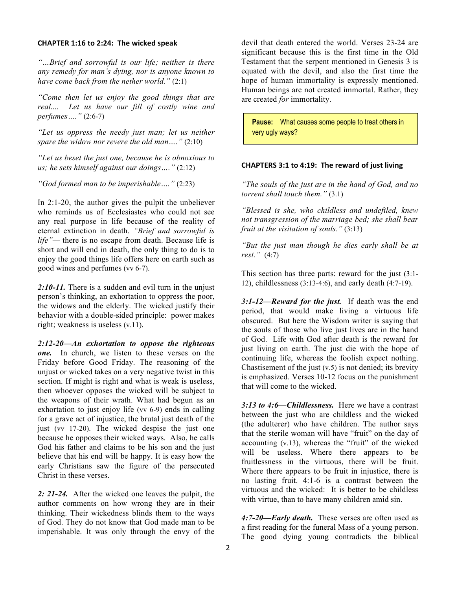#### **CHAPTER 1:16 to 2:24: The wicked speak**

*"…Brief and sorrowful is our life; neither is there any remedy for man's dying, nor is anyone known to have come back from the nether world."* (2:1)

*"Come then let us enjoy the good things that are real.... Let us have our fill of costly wine and perfumes…."* (2:6-7)

*"Let us oppress the needy just man; let us neither spare the widow nor revere the old man…."* (2:10)

*"Let us beset the just one, because he is obnoxious to us; he sets himself against our doings…."* (2:12)

*"God formed man to be imperishable…."* (2:23)

In 2:1-20, the author gives the pulpit the unbeliever who reminds us of Ecclesiastes who could not see any real purpose in life because of the reality of eternal extinction in death. *"Brief and sorrowful is life"—* there is no escape from death. Because life is short and will end in death, the only thing to do is to enjoy the good things life offers here on earth such as good wines and perfumes (vv 6-7).

*2:10-11.* There is a sudden and evil turn in the unjust person's thinking, an exhortation to oppress the poor, the widows and the elderly. The wicked justify their behavior with a double-sided principle: power makes right; weakness is useless (v.11).

*2:12-20—An exhortation to oppose the righteous one.* In church, we listen to these verses on the Friday before Good Friday. The reasoning of the unjust or wicked takes on a very negative twist in this section. If might is right and what is weak is useless, then whoever opposes the wicked will be subject to the weapons of their wrath. What had begun as an exhortation to just enjoy life (vv 6-9) ends in calling for a grave act of injustice, the brutal just death of the just (vv 17-20). The wicked despise the just one because he opposes their wicked ways. Also, he calls God his father and claims to be his son and the just believe that his end will be happy. It is easy how the early Christians saw the figure of the persecuted Christ in these verses.

*2: 21-24.* After the wicked one leaves the pulpit, the author comments on how wrong they are in their thinking. Their wickedness blinds them to the ways of God. They do not know that God made man to be imperishable. It was only through the envy of the devil that death entered the world. Verses 23-24 are significant because this is the first time in the Old Testament that the serpent mentioned in Genesis 3 is equated with the devil, and also the first time the hope of human immortality is expressly mentioned. Human beings are not created immortal. Rather, they are created *for* immortality.

**Pause:** What causes some people to treat others in very ugly ways?

### **CHAPTERS 3:1 to 4:19: The reward of just living**

*"The souls of the just are in the hand of God, and no torrent shall touch them."* (3.1)

*"Blessed is she, who childless and undefiled, knew not transgression of the marriage bed; she shall bear fruit at the visitation of souls."* (3:13)

*"But the just man though he dies early shall be at rest."* (4:7)

This section has three parts: reward for the just (3:1- 12), childlessness (3:13-4:6), and early death (4:7-19).

*3:1-12—Reward for the just.* If death was the end period, that would make living a virtuous life obscured. But here the Wisdom writer is saying that the souls of those who live just lives are in the hand of God. Life with God after death is the reward for just living on earth. The just die with the hope of continuing life, whereas the foolish expect nothing. Chastisement of the just  $(v.5)$  is not denied; its brevity is emphasized. Verses 10-12 focus on the punishment that will come to the wicked.

*3:13 to 4:6—Childlessness.* Here we have a contrast between the just who are childless and the wicked (the adulterer) who have children. The author says that the sterile woman will have "fruit" on the day of accounting (v.13), whereas the "fruit" of the wicked will be useless. Where there appears to be fruitlessness in the virtuous, there will be fruit. Where there appears to be fruit in injustice, there is no lasting fruit. 4:1-6 is a contrast between the virtuous and the wicked: It is better to be childless with virtue, than to have many children amid sin.

*4:7-20—Early death.* These verses are often used as a first reading for the funeral Mass of a young person. The good dying young contradicts the biblical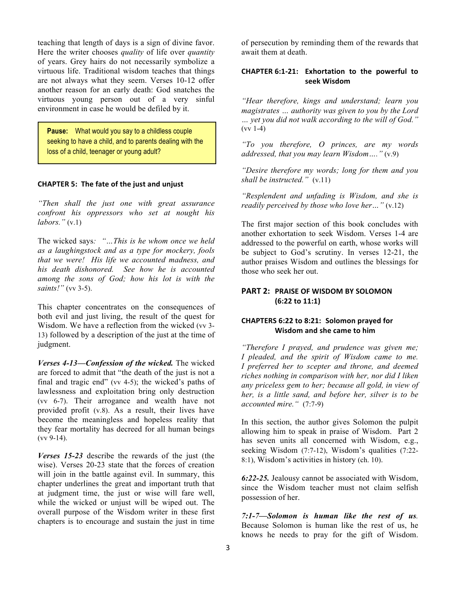teaching that length of days is a sign of divine favor. Here the writer chooses *quality* of life over *quantity* of years. Grey hairs do not necessarily symbolize a virtuous life. Traditional wisdom teaches that things are not always what they seem. Verses 10-12 offer another reason for an early death: God snatches the virtuous young person out of a very sinful environment in case he would be defiled by it.

**Pause:** What would you say to a childless couple seeking to have a child, and to parents dealing with the loss of a child, teenager or young adult?

### **CHAPTER 5: The fate of the just and unjust**

*"Then shall the just one with great assurance confront his oppressors who set at nought his labors."* (v.1)

The wicked says*: "…This is he whom once we held as a laughingstock and as a type for mockery, fools that we were! His life we accounted madness, and his death dishonored. See how he is accounted among the sons of God; how his lot is with the saints!"* (vv 3-5).

This chapter concentrates on the consequences of both evil and just living, the result of the quest for Wisdom. We have a reflection from the wicked (vv 3- 13) followed by a description of the just at the time of judgment.

*Verses 4-13—Confession of the wicked.* The wicked are forced to admit that "the death of the just is not a final and tragic end" (vv 4-5); the wicked's paths of lawlessness and exploitation bring only destruction (vv 6-7). Their arrogance and wealth have not provided profit (v.8). As a result, their lives have become the meaningless and hopeless reality that they fear mortality has decreed for all human beings (vv 9-14).

*Verses 15-23* describe the rewards of the just (the wise). Verses 20-23 state that the forces of creation will join in the battle against evil. In summary, this chapter underlines the great and important truth that at judgment time, the just or wise will fare well, while the wicked or unjust will be wiped out. The overall purpose of the Wisdom writer in these first chapters is to encourage and sustain the just in time

of persecution by reminding them of the rewards that await them at death.

### **CHAPTER 6:1-21: Exhortation to the powerful to seek Wisdom**

*"Hear therefore, kings and understand; learn you magistrates … authority was given to you by the Lord … yet you did not walk according to the will of God."*  $(vv 1-4)$ 

*"To you therefore, O princes, are my words addressed, that you may learn Wisdom…."* (v.9)

*"Desire therefore my words; long for them and you shall be instructed."* (v.11)

*"Resplendent and unfading is Wisdom, and she is readily perceived by those who love her…"* (v.12)

The first major section of this book concludes with another exhortation to seek Wisdom. Verses 1-4 are addressed to the powerful on earth, whose works will be subject to God's scrutiny. In verses 12-21, the author praises Wisdom and outlines the blessings for those who seek her out.

## **PART 2: PRAISE OF WISDOM BY SOLOMON (6:22 to 11:1)**

### **CHAPTERS 6:22 to 8:21: Solomon prayed for Wisdom and she came to him**

*"Therefore I prayed, and prudence was given me; I pleaded, and the spirit of Wisdom came to me. I preferred her to scepter and throne, and deemed riches nothing in comparison with her, nor did I liken any priceless gem to her; because all gold, in view of her, is a little sand, and before her, silver is to be accounted mire."* (7:7-9)

In this section, the author gives Solomon the pulpit allowing him to speak in praise of Wisdom. Part 2 has seven units all concerned with Wisdom, e.g., seeking Wisdom (7:7-12), Wisdom's qualities (7:22- 8:1), Wisdom's activities in history (ch. 10).

*6:22-25.* Jealousy cannot be associated with Wisdom, since the Wisdom teacher must not claim selfish possession of her.

*7:1-7—Solomon is human like the rest of us.* Because Solomon is human like the rest of us, he knows he needs to pray for the gift of Wisdom.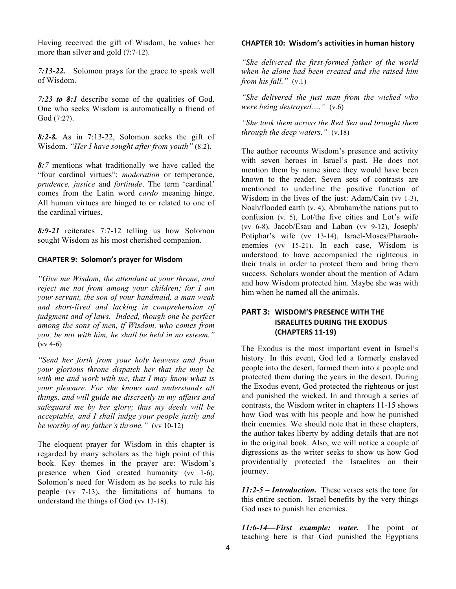Having received the gift of Wisdom, he values her more than silver and gold (7:7-12).

*7:13-22.* Solomon prays for the grace to speak well of Wisdom.

*7:23 to 8:1* describe some of the qualities of God. One who seeks Wisdom is automatically a friend of God (7:27).

*8:2-8.* As in 7:13-22, Solomon seeks the gift of Wisdom. *"Her I have sought after from youth"* (8:2).

*8:7* mentions what traditionally we have called the "four cardinal virtues": *moderation* or temperance, *prudence, justice* and *fortitude*. The term 'cardinal' comes from the Latin word *cardo* meaning hinge. All human virtues are hinged to or related to one of the cardinal virtues.

*8:9-21* reiterates 7:7-12 telling us how Solomon sought Wisdom as his most cherished companion.

### **CHAPTER 9: Solomon's prayer for Wisdom**

*"Give me Wisdom, the attendant at your throne, and reject me not from among your children; for I am your servant, the son of your handmaid, a man weak and short-lived and lacking in comprehension of judgment and of laws. Indeed, though one be perfect among the sons of men, if Wisdom, who comes from you, be not with him, he shall be held in no esteem."*  (vv 4-6)

*"Send her forth from your holy heavens and from your glorious throne dispatch her that she may be with me and work with me, that I may know what is your pleasure. For she knows and understands all things, and will guide me discreetly in my affairs and safeguard me by her glory; thus my deeds will be acceptable, and I shall judge your people justly and be worthy of my father's throne."* (vv 10-12)

The eloquent prayer for Wisdom in this chapter is regarded by many scholars as the high point of this book. Key themes in the prayer are: Wisdom's presence when God created humanity (vv 1-6), Solomon's need for Wisdom as he seeks to rule his people (vv 7-13), the limitations of humans to understand the things of God (vv 13-18).

### **CHAPTER 10: Wisdom's activities in human history**

*"She delivered the first-formed father of the world when he alone had been created and she raised him from his fall."* (v.1)

*"She delivered the just man from the wicked who were being destroyed…."* (v.6)

*"She took them across the Red Sea and brought them through the deep waters."* (v.18)

The author recounts Wisdom's presence and activity with seven heroes in Israel's past. He does not mention them by name since they would have been known to the reader. Seven sets of contrasts are mentioned to underline the positive function of Wisdom in the lives of the just: Adam/Cain (vv 1-3), Noah/flooded earth (v. 4), Abraham/the nations put to confusion (v. 5), Lot/the five cities and Lot's wife (vv 6-8), Jacob/Esau and Laban (vv 9-12), Joseph/ Potiphar's wife (vv 13-14), Israel-Moses/Pharaohenemies (vv 15-21). In each case, Wisdom is understood to have accompanied the righteous in their trials in order to protect them and bring them success. Scholars wonder about the mention of Adam and how Wisdom protected him. Maybe she was with him when he named all the animals.

# **PART 3: WISDOM'S PRESENCE WITH THE ISRAELITES DURING THE EXODUS (CHAPTERS 11-19)**

The Exodus is the most important event in Israel's history. In this event, God led a formerly enslaved people into the desert, formed them into a people and protected them during the years in the desert. During the Exodus event, God protected the righteous or just and punished the wicked. In and through a series of contrasts, the Wisdom writer in chapters 11-15 shows how God was with his people and how he punished their enemies. We should note that in these chapters, the author takes liberty by adding details that are not in the original book. Also, we will notice a couple of digressions as the writer seeks to show us how God providentially protected the Israelites on their journey.

*11:2-5 – Introduction.* These verses sets the tone for this entire section. Israel benefits by the very things God uses to punish her enemies.

*11:6-14—First example: water.* The point or teaching here is that God punished the Egyptians